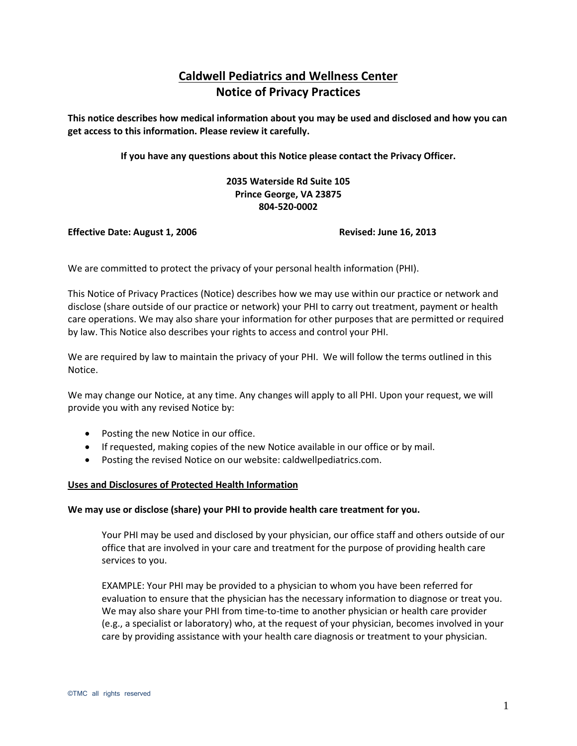# **Caldwell Pediatrics and Wellness Center Notice of Privacy Practices**

**This notice describes how medical information about you may be used and disclosed and how you can get access to this information. Please review it carefully.** 

**If you have any questions about this Notice please contact the Privacy Officer.**

# **2035 Waterside Rd Suite 105 Prince George, VA 23875 804-520-0002**

#### **Effective Date: August 1, 2006** Revised: June 16, 2013

We are committed to protect the privacy of your personal health information (PHI).

This Notice of Privacy Practices (Notice) describes how we may use within our practice or network and disclose (share outside of our practice or network) your PHI to carry out treatment, payment or health care operations. We may also share your information for other purposes that are permitted or required by law. This Notice also describes your rights to access and control your PHI.

We are required by law to maintain the privacy of your PHI. We will follow the terms outlined in this Notice.

We may change our Notice, at any time. Any changes will apply to all PHI. Upon your request, we will provide you with any revised Notice by:

- Posting the new Notice in our office.
- If requested, making copies of the new Notice available in our office or by mail.
- Posting the revised Notice on our website: caldwellpediatrics.com.

#### **Uses and Disclosures of Protected Health Information**

#### **We may use or disclose (share) your PHI to provide health care treatment for you.**

Your PHI may be used and disclosed by your physician, our office staff and others outside of our office that are involved in your care and treatment for the purpose of providing health care services to you.

EXAMPLE: Your PHI may be provided to a physician to whom you have been referred for evaluation to ensure that the physician has the necessary information to diagnose or treat you. We may also share your PHI from time-to-time to another physician or health care provider (e.g., a specialist or laboratory) who, at the request of your physician, becomes involved in your care by providing assistance with your health care diagnosis or treatment to your physician.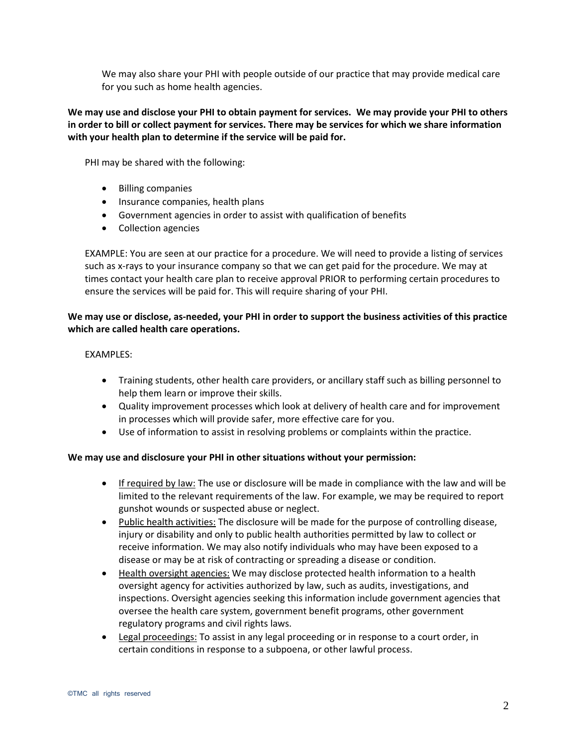We may also share your PHI with people outside of our practice that may provide medical care for you such as home health agencies.

# **We may use and disclose your PHI to obtain payment for services. We may provide your PHI to others in order to bill or collect payment for services. There may be services for which we share information with your health plan to determine if the service will be paid for.**

PHI may be shared with the following:

- Billing companies
- Insurance companies, health plans
- Government agencies in order to assist with qualification of benefits
- Collection agencies

EXAMPLE: You are seen at our practice for a procedure. We will need to provide a listing of services such as x-rays to your insurance company so that we can get paid for the procedure. We may at times contact your health care plan to receive approval PRIOR to performing certain procedures to ensure the services will be paid for. This will require sharing of your PHI.

# **We may use or disclose, as-needed, your PHI in order to support the business activities of this practice which are called health care operations.**

#### EXAMPLES:

- Training students, other health care providers, or ancillary staff such as billing personnel to help them learn or improve their skills.
- Quality improvement processes which look at delivery of health care and for improvement in processes which will provide safer, more effective care for you.
- Use of information to assist in resolving problems or complaints within the practice.

# **We may use and disclosure your PHI in other situations without your permission:**

- If required by law: The use or disclosure will be made in compliance with the law and will be limited to the relevant requirements of the law. For example, we may be required to report gunshot wounds or suspected abuse or neglect.
- Public health activities: The disclosure will be made for the purpose of controlling disease, injury or disability and only to public health authorities permitted by law to collect or receive information. We may also notify individuals who may have been exposed to a disease or may be at risk of contracting or spreading a disease or condition.
- Health oversight agencies: We may disclose protected health information to a health oversight agency for activities authorized by law, such as audits, investigations, and inspections. Oversight agencies seeking this information include government agencies that oversee the health care system, government benefit programs, other government regulatory programs and civil rights laws.
- Legal proceedings: To assist in any legal proceeding or in response to a court order, in certain conditions in response to a subpoena, or other lawful process.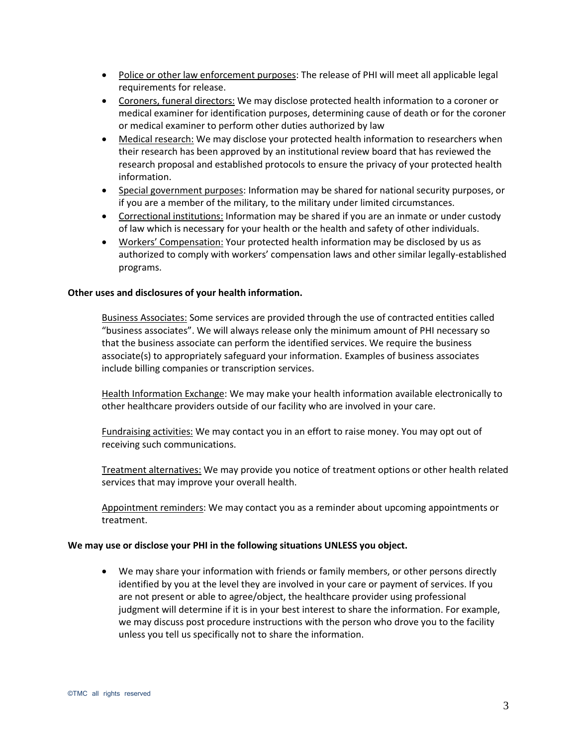- Police or other law enforcement purposes: The release of PHI will meet all applicable legal requirements for release.
- Coroners, funeral directors: We may disclose protected health information to a coroner or medical examiner for identification purposes, determining cause of death or for the coroner or medical examiner to perform other duties authorized by law
- Medical research: We may disclose your protected health information to researchers when their research has been approved by an institutional review board that has reviewed the research proposal and established protocols to ensure the privacy of your protected health information.
- **Special government purposes:** Information may be shared for national security purposes, or if you are a member of the military, to the military under limited circumstances.
- Correctional institutions: Information may be shared if you are an inmate or under custody of law which is necessary for your health or the health and safety of other individuals.
- Workers' Compensation: Your protected health information may be disclosed by us as authorized to comply with workers' compensation laws and other similar legally-established programs.

#### **Other uses and disclosures of your health information.**

Business Associates: Some services are provided through the use of contracted entities called "business associates". We will always release only the minimum amount of PHI necessary so that the business associate can perform the identified services. We require the business associate(s) to appropriately safeguard your information. Examples of business associates include billing companies or transcription services.

Health Information Exchange: We may make your health information available electronically to other healthcare providers outside of our facility who are involved in your care.

Fundraising activities: We may contact you in an effort to raise money. You may opt out of receiving such communications.

Treatment alternatives: We may provide you notice of treatment options or other health related services that may improve your overall health.

Appointment reminders: We may contact you as a reminder about upcoming appointments or treatment.

#### **We may use or disclose your PHI in the following situations UNLESS you object.**

 We may share your information with friends or family members, or other persons directly identified by you at the level they are involved in your care or payment of services. If you are not present or able to agree/object, the healthcare provider using professional judgment will determine if it is in your best interest to share the information. For example, we may discuss post procedure instructions with the person who drove you to the facility unless you tell us specifically not to share the information.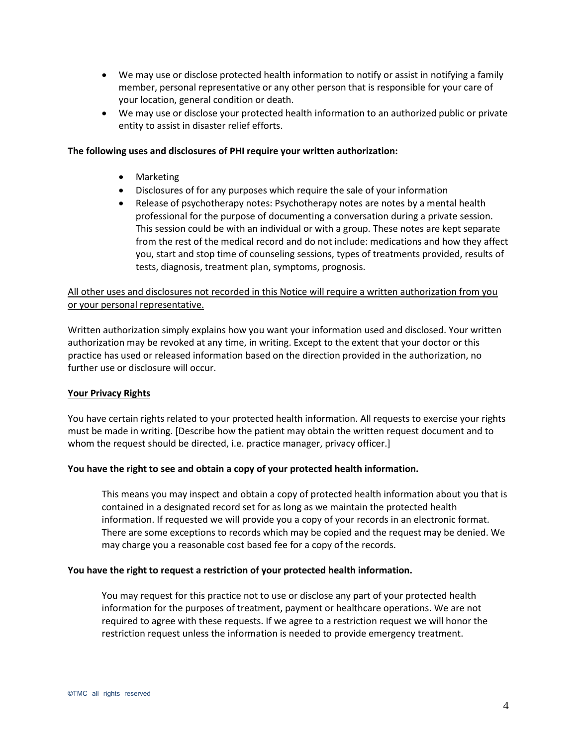- We may use or disclose protected health information to notify or assist in notifying a family member, personal representative or any other person that is responsible for your care of your location, general condition or death.
- We may use or disclose your protected health information to an authorized public or private entity to assist in disaster relief efforts.

#### **The following uses and disclosures of PHI require your written authorization:**

- Marketing
- Disclosures of for any purposes which require the sale of your information
- Release of psychotherapy notes: Psychotherapy notes are notes by a mental health professional for the purpose of documenting a conversation during a private session. This session could be with an individual or with a group. These notes are kept separate from the rest of the medical record and do not include: medications and how they affect you, start and stop time of counseling sessions, types of treatments provided, results of tests, diagnosis, treatment plan, symptoms, prognosis.

# All other uses and disclosures not recorded in this Notice will require a written authorization from you or your personal representative.

Written authorization simply explains how you want your information used and disclosed. Your written authorization may be revoked at any time, in writing. Except to the extent that your doctor or this practice has used or released information based on the direction provided in the authorization, no further use or disclosure will occur.

#### **Your Privacy Rights**

You have certain rights related to your protected health information. All requests to exercise your rights must be made in writing. [Describe how the patient may obtain the written request document and to whom the request should be directed, i.e. practice manager, privacy officer.]

#### **You have the right to see and obtain a copy of your protected health information.**

This means you may inspect and obtain a copy of protected health information about you that is contained in a designated record set for as long as we maintain the protected health information. If requested we will provide you a copy of your records in an electronic format. There are some exceptions to records which may be copied and the request may be denied. We may charge you a reasonable cost based fee for a copy of the records.

#### **You have the right to request a restriction of your protected health information.**

You may request for this practice not to use or disclose any part of your protected health information for the purposes of treatment, payment or healthcare operations. We are not required to agree with these requests. If we agree to a restriction request we will honor the restriction request unless the information is needed to provide emergency treatment.